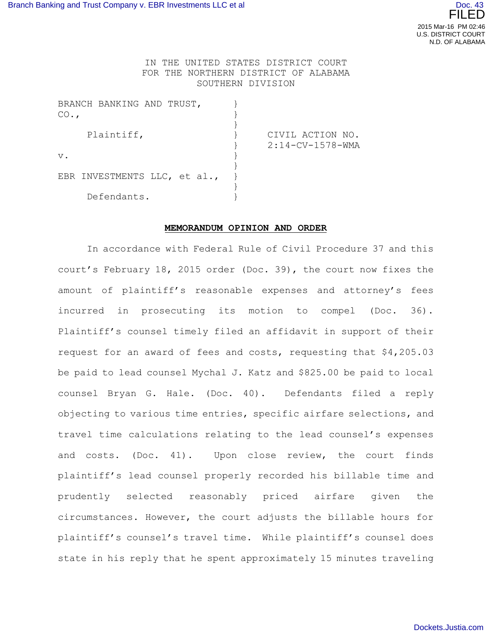## IN THE UNITED STATES DISTRICT COURT FOR THE NORTHERN DISTRICT OF ALABAMA SOUTHERN DIVISION

| BRANCH BANKING AND TRUST,    |                    |
|------------------------------|--------------------|
| CO.                          |                    |
|                              |                    |
| Plaintiff,                   | CIVIL ACTION NO.   |
|                              | $2:14-CV-1578-WMA$ |
| $V$ .                        |                    |
|                              |                    |
| EBR INVESTMENTS LLC, et al., |                    |
|                              |                    |
| Defendants.                  |                    |

## **MEMORANDUM OPINION AND ORDER**

In accordance with Federal Rule of Civil Procedure 37 and this court's February 18, 2015 order (Doc. 39), the court now fixes the amount of plaintiff's reasonable expenses and attorney's fees incurred in prosecuting its motion to compel (Doc. 36). Plaintiff's counsel timely filed an affidavit in support of their request for an award of fees and costs, requesting that \$4,205.03 be paid to lead counsel Mychal J. Katz and \$825.00 be paid to local counsel Bryan G. Hale. (Doc. 40). Defendants filed a reply objecting to various time entries, specific airfare selections, and travel time calculations relating to the lead counsel's expenses and costs. (Doc. 41). Upon close review, the court finds plaintiff's lead counsel properly recorded his billable time and prudently selected reasonably priced airfare given the circumstances. However, the court adjusts the billable hours for plaintiff's counsel's travel time. While plaintiff's counsel does state in his reply that he spent approximately 15 minutes traveling